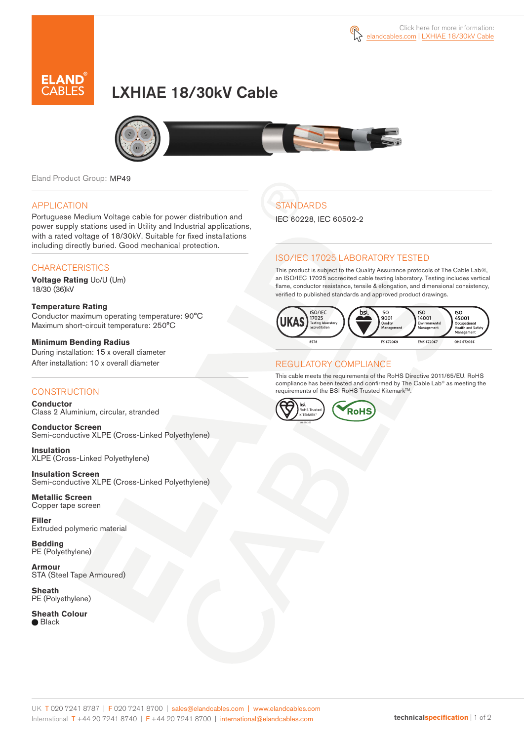



# LXHIAE 18/30kV Cable



Eland Product Group: MP49

### APPLICATION

Portuguese Medium Voltage cable for power distribution and power supply stations used in Utility and Industrial applications, with a rated voltage of 18/30kV. Suitable for fixed installations including directly buried. Good mechanical protection.

### **CHARACTERISTICS**

**Voltage Rating** Uo/U (Um) 18/30 (36)kV

#### **Temperature Rating**  Conductor maximum operating temperature: 90°C Maximum short-circuit temperature: 250°C

**Minimum Bending Radius**  During installation: 15 x overall diameter After installation: 10 x overall diameter

### **CONSTRUCTION**

**Conductor**  Class 2 Aluminium, circular, stranded

**Conductor Screen** Semi-conductive XLPE (Cross-Linked Polyethylene)

**Insulation** XLPE (Cross-Linked Polyethylene)

**Insulation Screen** Semi-conductive XLPE (Cross-Linked Polyethylene)

**Metallic Screen**  Copper tape screen

**Filler** Extruded polymeric material

**Bedding** PE (Polyethylene)

**Armour** STA (Steel Tape Armoured)

**Sheath** PE (Polyethylene)

**Sheath Colour** ● Black

## **STANDARDS**

IEC 60228, IEC 60502-2

### ISO/IEC 17025 LABORATORY TESTED

This product is subject to the Quality Assurance protocols of The Cable Lab®, an ISO/IEC 17025 accredited cable testing laboratory. Testing includes vertical flame, conductor resistance, tensile & elongation, and dimensional consistency, verified to published standards and approved product drawings.



### REGULATORY COMPLIANCE

This cable meets the requirements of the RoHS Directive 2011/65/EU. RoHS compliance has been tested and confirmed by The Cable Lab® as meeting the requirements of the BSI RoHS Trusted Kitemark™.